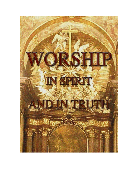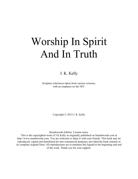# Worship In Spirit And In Truth

## J. K. Kelly

Scripture references taken from various versions, with an emphasis on the NIV.

Copyright © 2012 J. K. Kelly

Smashwords Edition. License notes.

This is the copyrighted work of J K Kelly as originally published on Smashwords.com at http://www.smashwords.com. You are welcome to share it with your friends. This book may be reproduced, copied and distributed for non-commercial purposes, provided the book remains in its complete original form. All reproductions are to maintain this legend at the beginning and end of the work. Thank you for your support.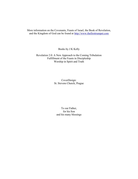More information on the Covenants, Feasts of Israel, the Book of Revelation, and the Kingdom of God can be found at http://www.thefirsttrumpet.com

Books by J K Kelly

Revelation 2.0: A New Approach to the Coming Tribulation Fulfillment of the Feasts in Discipleship Worship in Spirit and Truth

> CoverDesign: St. Stevens Church, Prague

To our Father, for his Son and his many blessings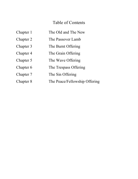# Table of Contents

| Chapter 1 | The Old and The New           |
|-----------|-------------------------------|
| Chapter 2 | The Passover Lamb             |
| Chapter 3 | The Burnt Offering            |
| Chapter 4 | The Grain Offering            |
| Chapter 5 | The Wave Offering             |
| Chapter 6 | The Trespass Offering         |
| Chapter 7 | The Sin Offering              |
| Chapter 8 | The Peace/Fellowship Offering |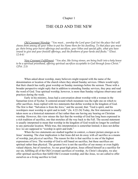## THE OLD AND THE NEW

*Old Covenant Worship: "You must... worship the Lord your God (in) the place (he) will choose from among all your tribes to put his Name there for his dwelling. To that place you must go; there bring your burnt offerings and sacrifices, your tithes and special gifts, what you have vowed to give and your freewill offerings, and the firstborn of your herds and flocks." (Deut. 12:4-6)* 

*New Covenant Fulfillment: "You also, like living stones, are being built into a holy house to be a spiritual priesthood, offering spiritual sacrifices acceptable to God through Jesus Christ." (2Pet. 2:5)* 

When asked about worship, many believers might respond with the name of the denomination or location of the church where they attend Sunday services. Others would reply that their church has really great worship on Sunday mornings before the sermon. Those with a broader perspective might reply that in addition to attending Sunday services, they pray and read the word of God. True spiritual worship, however, is more than Sunday religious observance and practices during the week.

Early in his ministry, Jesus had a conversation about worship with a woman in the Samaritan town of Sychar. It centered around which mountain was the right one on which to offer sacrifices. Jesus replied with two statements that define worship in the kingdom of God. The first is that: "Salvation is from the Jews," and the second, that: "God is spirit, and his worshipers must worship in spirit and in truth." (Jn. 4:22-24) Today, the first statement is usually taken more as a historical statement of fact rather than one having any bearing on Christian worship. However, this view misses the fact that the worship of God has long been expressed in a rich tradition of sacrifice, one that stretches all the way back to the Fall. The second statement is usually interpreted to mean that worship in the kingdom of God would no longer be confined to any particular location. While true, this interpretation is somewhat limited; it does not define *how* we are supposed to "worship in spirit and truth."

When the two statements are studied together in context, a clearer picture emerges as to Jesus' meaning. The clear implication is that Jesus did not do away with *all* sacrifice as a means of worship, just *physical* sacrifice. The reason for this is that sacrifice is one of the highest expressions of love. The worship of God is still based on sacrifice, but these sacrifices are spiritual rather than physical. The greatest love is not the sacrifice of our money or even highly valued objects, but of ourselves. As our great high priest, Jesus offered himself as a sacrifice for our sin, fulfilling all of the Old Covenant sacrifices of worship. As Christ's disciples, we also offer spiritual sacrifices that fulfill Old Covenant worship; and like Jesus, we are called to offer ourselves as a living sacrifice to God.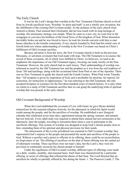## The Early Church

It was by the Lord's design that worship in the New Testament Christian church evolved from its Jewish sacrificial roots. Worship "in spirit and truth" is not a wholly new invention, but the fulfillment of the existing Old Covenant model. As the architect of the early church from Antioch to Rome, Paul ensured that Christianity did not lose touch with its long heritage of worship. His missionary strategy was simple. When he came to a new city, he went first to the synagogue to convince his brethren of the Good News of the kingdom of God. When dissention inevitably broke out and he was forced to leave, he took his Jewish converts with him to start house churches in the Gentile community. Every church founded by Paul had this initial core of Jewish believers whose understanding of worship in the New Covenant was based on Christ's fulfillment of Old Covenant sacrifice.

Because salvation is from the Jews, the New Covenant church is built on the previous Messianic, or salvation covenants that God made with man. The Old Testament is in essence the record of these covenants, all of which were fulfilled in Christ. As believers, we tend to deemphasize the importance of our Old Testament legacy, focusing our study mostly on the New Testament. However, the early church had no such luxury. Their understanding of worship was informed as much by the Old Testament law and the prophets as it was from the oral tradition of Jesus' life and teachings, along with the occasional letter from Paul or one of the Apostles. There was no New Testament to guide the church until the Fourth Century. When Paul wrote Timothy that: "All scripture is given by inspiration of God, and is profitable for doctrine, for reproof, for correction, for instruction in righteousness," he was referring to the Old Testament, the only accepted Scripture in existence for the first three hundred years of church history. It is only when we return to a study of Old Testament sacrifice that we can grasp the underlying truth of spiritual worship that was present in the early church.

## Old Covenant Background of Worship

When the Lord established the covenant of Law with Israel, he gave Moses detailed instructions for the seasonal religious festivals, for the tabernacle in which his Spirit would reside among the people, and for the sacrifices of worship. He established a new liturgical calendar that celebrated seven feast days, apportioned among the spring, summer, and autumn harvest festivals. Every adult male was required to attend these annual harvest ceremonies at the tabernacle, later the temple, traveling to Jerusalem three times a year to participate in the sacrificial offerings. This system of worship was designed to keep God's chosen people close to him, reminding them of his spiritual and physical provision for their needs.

The intercession of the Levitic priesthood was essential to Old Covenant worship; they represented God's majesty to the people and presented the needs and sacrifices of the people to God. Without a sacrifice and a priest to officiate in its offering, there could be no reconciliation, no forgiveness of sin. The offering of sacrifices on the altar of burnt offering was the central act of tabernacle worship. These sacrifices were not man's idea, but the Lord's; they were his provision to continually reconcile his chosen people to himself.

Under the regulations of Old Covenant worship, different types of offerings were made on a daily, weekly, monthly, and seasonal basis. Each feast was characterized by a particular offering, or series of offerings that reflected the theme of that feast. The Lord directed that six sacrifices be wholly or partially offered by fire during the feasts: 1. The Passover Lamb; 2. The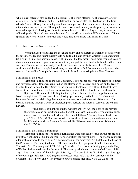whole burnt offering, also called the holocaust; 3. The grain offering; 4. The trespass, or guilt offering; 5. The sin offering; and 6. The fellowship, or peace offering. To these six, the Lord added a "wave offering," in which grain, bread, or a portion of an animal was lifted up above the altar and consecrated to God. Through the intercession and ministry of the priests, the sacrifices resulted in spiritual blessings on those for whom they were offered: forgiveness, atonement, fellowship with God and one's neighbor, etc. Each sacrifice brought a different aspect of God's spiritual provision to Israel, and each one would find its ultimate fulfillment in Christ.

## Fulfillment of the Sacrifices in Christ

When the Lord established the covenant of law and its system of worship, he did so with the foreknowledge and intent that it would be fulfilled in and through Christ in both a temporal (at a point in time) and spiritual sense. Fulfillment of the law meant much more than just keeping its commandments and regulations. Jesus not only obeyed the law, he also fulfilled Old Covenant worship. Because we are spiritually "in Christ," we share in this fulfillment. It is Christ's fulfillment of the feasts, temple furnishings, and sacrifices of Old Covenant worship that is the source of our walk of discipleship, our spiritual Life, and our worship in the New Covenant.

## Fulfillment of the Feasts

Temporal Fulfillment: In the Old Covenant, God's people observed the feasts at set times and harvest seasons. Jesus was crucified on the afternoon of Passover and raised on the feast of Firstfruits, and he sent the Holy Spirit to the church on Pentecost. He will fulfill the last three feasts at the end of the age on their respective feast days with his return to harvest the earth.

Spiritual Fulfillment: In fulfilling the feasts, Jesus obtained the blessings that came to Israel through them. He has made these blessings permanently available to New Covenant believers. Instead of celebrating feast days at set times, *we are the harvest.* We come to fruit bearing maturity through a walk of discipleship that reflects the nature of seasonal growth and harvest.

"The harvest is plentiful, but the workers are few. Ask the Lord of the harvest, therefore, to send out workers into his harvest field. Go! I am sending you out like lambs among wolves. Heal the sick who are there and tell them, 'The kingdom of God is near you." (Lk. 10:2-3, 9) "The man who loves his life will lose it, while the man who hates his life in this world will keep it for eternal life. Whoever serves me must follow me... (Jn. 12:25-26)

## Fulfillment of the Temple Furnishings

Temporal Fulfillment: The temple furnishings were fulfilled by Jesus during his life and ministry. As the Son of God made man, he 'personified' the furnishings: 1. The bronze courtyard altar at the entrance to the temple, 2. The washbasin in the courtyard; 3. The table of the bread of the Presence, 4. The lampstand, and 5. The incense altar of prayer present in the Sanctuary; 6. The Ark of the Testimony and 7. The Mercy Seat where God dwelt in shining glory in the Holy of Holies. Scripture tells us that Jesus is: 1. The altar by which man comes to God (Heb. 13:10- 12), 2. The living water of the Spirit (Jn. 4:10-14), 3. The bread of life (Jn. 6:33-51), 4. The light of the world (Jn. 1:9; 8:12), 5. Our great Intercessor (Heb. 7:25), 6. The Testimony of the covenant (Jn. 5:31-40), and 7. The Presence of God among men (Isa. 7:14; Lk. 22:66-70).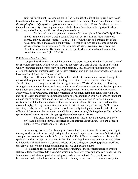Spiritual fulfillment: Because we are in Christ, his life, the life of the Spirit, flows in and through us to the world. Instead of traveling to Jerusalem to worship at a physical temple, *we are the temple of the Holy Spirit*, a repository and witness of the Life of Christ. We therefore have the dual responsibility of keeping our temple a holy place of worship so the Spirit of God can live there, and of letting this life flow through us to others.

"Don't you know that you yourselves are God's temple and that God's Spirit lives in you? If anyone destroys God's temple, God will destroy him; for God's temple is sacred, and you are that temple." (1Cor. 3:16-17) "On the last and greatest day of the feast, Jesus stood and said in a loud voice, 'If a man is thirsty, let him come to me and drink. Whoever believes in me, as the Scripture has said, streams of living water will flow from within him.' By this he meant the Spirit, whom those who believed in him were later to receive." (Jn. 7:37-39)

#### Fulfillment of the Sacrifices

Temporal Fulfillment: Through his death on the cross, Jesus fulfilled or "became" each of the sacrifices associated with the feasts. He was the Passover Lamb of God; the burnt offering wholly consumed on the cross: body (the grain offering), soul and spirit (the first fruits wave offerings); dying for our trespasses (the trespass offering) and sins (the sin offering); so we might have peace with God (the peace offering).

Spiritual Fulfillment: With his body and blood Christ purchased numerous blessings for mankind through his death: *Remission,* the forgiveness that frees us from the debt of sin, *Justification,* the exchange of our sin for the righteousness of Christ; *Expiation,* the cleansing from guilt that removes the accusation and guilt of sin; *Consecration,* setting our bodies apart for God's holy use; *Sanctification in power,* receiving the transforming power of the Holy Spirit; *Forgiveness of our trespasses* through confession*,* so we might remain in fellowship with God and our brothers and sisters in Christ; *Atonement,* the Reconciliation with God through judgment on, and the removal of, sin; and *Peace/Fellowship with God,* allowing us to walk in close relationship with the Father and our brothers and sisters in Christ. Because Jesus endured the cross willingly, offering himself as a ransom for the sin of mankind, he not only fulfilled each sacrifice, he also became our high priest as well, since only the high priest could make the sin offering of Atonement. Because we are in Christ, *we are priests of the kingdom of God, offering spiritual sacrifices of worship that glorify God and minister to others*.

"You also, like living stones, are being built into a spiritual house to be a holy priesthood, offering spiritual sacrifices to God through Jesus Christ... you are a chosen people, a royal priesthood..." (1Pet. 2:5, 9)

In summary, instead of celebrating the harvest feasts, we become the harvest, walking in the way of discipleship so we might bring forth a crop of kingdom fruit. Instead of ministering in a temple, we become the temple of God, bearing the Life of Christ in ourselves and letting his spiritual life flow through us to others. Rather than requiring the services of a consecrated priest to intercede with God for us, we become priests of God's kingdom, offering spiritual sacrifices that draw us close to the Father and minister his love and truth to others.

The church today has lost this broad understanding of the sacrificial nature of worship. Believers largely perceive Old Testament worship as "merely" types and shadows rather than the foundation on which true spiritual worship is based and understood. As a result, worship has become narrowly defined as what takes place in a Sunday service, or, even more narrowly, the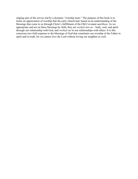singing part of the service led by a dynamic "worship team." The purpose of this book is to foster an appreciation of worship that the early church had, based on an understanding of the blessings that come to us through Christ's fulfillment of the Old Covenant sacrifices. As we appropriate and act on these blessings by faith, they are *worked into* us – body, soul, and spirit through our relationship with God, and *worked out* in our relationships with others. It is this conscious two-fold response to the blessings of God that constitutes our worship of the Father in spirit and in truth, for we cannot love the Lord without loving our neighbor as well.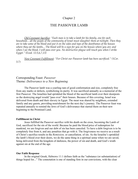## THE PASSOVER LAMB

*Old Covenant Sacrifice: "Each man is to take a lamb for his family, one for each household... all the people of the community of Israel must slaughter them at twilight. Then they are to take some of the blood and put it on the sides and tops of the doorframes of the houses where they eat the lambs... The blood will be a sign for you on the houses where you are; and when I see the blood, I will pass over you. No destructive plague will touch you when I strike Egypt." (Exod. 12:3,6,7,13)* 

*New Covenant Fulfillment: "For Christ our Passover lamb has been sacrificed." (1Cor. 5:7)*

## Corresponding Feast: *Passover*  Theme: *Deliverance to a New Beginning*

The Passover lamb was a yearling ram of good conformation and size, completely free from any marks or defects, symbolizing its purity. It was sacrificed annually as a memorial of the first Passover. The Israelites had sprinkled the blood of the sacrificial lamb over their doorposts so the destroying angel would "pass over" their houses. Because of this covering, Israel was delivered from death and their slavery in Egypt. The meat was shared by neighbors, extended family and any guests, providing nourishment for the next day's journey. The Passover feast was repeated annually to remind the Jews of God's deliverance that started them on their new beginning to the Promised Land.

#### **Fulfillment in Christ**

Jesus fulfilled the Passover sacrifice with his death on the cross, becoming the Lamb of God, sacrificed for the sin of the world. Because he paid the blood price of redemption for mankind, we are forgiven and our debt of sin has been canceled. To have a debt forgiven is to be completely free from it, and any penalties that go with it. The forgiveness we receive as a result of Christ's sacrifice results in the *Remission,* or cancellation*,* of sin. As the Israelite's sprinkled the lamb's blood over their doors, we do the same thing in a spiritual sense when we are saved, being delivered from the kingdom of darkness, the power of sin and death, and God's wrath against sin at the end of the age.

#### **Our Faith Response**

In the original Greek, Hebrews 11:1 defines faith as the "substance (or substantiation) of things hoped for..." The connotation is one of standing firm in our convictions, with the clear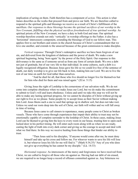implication of acting on them. Faith therefore has a component of *action*. This action is what James describes as the works that proceed from and prove our faith. We are therefore called to respond to the spiritual gifts and blessings we receive as a result of Christ's fulfillment of the sacrifices. *Our responses to these blessings become the spiritual sacrifices of our worship in the New Covenant, fulfilling what the physical sacrifices foreshadowed of true spiritual worship.* As spiritual priests of the New Covenant, we have a duty to both God and man. Our spiritual worship therefore extends not only 'vertically' in worship offerings to the Father; it also has a 'horizontal' intercessory component, extending the blessings of God to our fellow man. This applies first to our brothers and sisters in the church because of Christ's commandment that we love one another, and extends to the unsaved because of the great commission to make disciples.

*Vertical response*: Through Christ's redemptive sacrifice we have been forgiven of our sin, and delivered from the kingdom of darkness and the power of death. We make a new spiritual beginning, being 'born again' by the power of the Holy Spirit. Our response to this deliverance is the same as if someone saved us from any form of certain death. We owe a debt not just of gratitude, but of our very life to that individual. In some cultures, such a debt is a legally recognized obligation. Because Jesus gave his life so we could live free of the sentence of death, our daily worship is to give our life back to him, making him our Lord. We are to live the rest of our time on earth for God rather than ourselves.

"And he died for all, that those who live should no longer live for themselves but for him who died for them and was raised again." (2Cor. 5:15)

Giving Jesus the right of Lordship is the cornerstone of our salvation walk. We do not come into complete obedience when we make Jesus our Lord, but we do make the commitment to submit to God's will and learn obedience. Unless and until we take this step we will not be able to make any lasting spiritual progress, for we cannot be disciples of Christ without giving up our right to live as we please. Some people try to accept Jesus as their Savior without making him Lord. Jesus likens such a one to seed that springs up in shallow soil, but does not take root. Unless we send our roots deep into the soil of Christ, our faith will wither and we will fall away in time of testing.

Because Jesus came to call sinners to repentance, many people come to Christ as broken vessels. Those who have come through experiences that impair their ability to trust may not be emotionally capable of complete surrender to the lordship of Christ. In these cases, making Jesus Lord can be likened to giving him the keys to every room in our house, trusting him to open each locked door in his perfect timing. He will enter each room along with us when we are ready, casting the light of truth into every dark corner and giving us the courage to accept and deal with what we find there. In this way we receive healing from those things that hinder our ability to trust.

"Then Jesus said to his disciples, 'If anyone would come after me, he must deny himself and take up his cross and follow me. For whoever wants to save his life will lose it, but whoever loses his life for me will find it.'" (Mark 8:34,35) "Any of you who does not give up everything he has cannot be my disciple." (Lk. 14:33)

*Horizontal response*: As intercessors of the mercy and forgiveness we have received from Christ, we are called to forgive all those who sin against us. Having had our debt of sin erased, we are required to no longer keep a record of offenses committed against us. Any bitterness we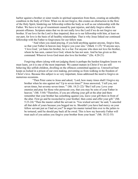harbor against a brother or sister results in spiritual separation from them, creating an unhealthy condition in the body of Christ. When we do not forgive, this creates an obstruction in the flow of the Holy Spirit, hindering our fellowship within the body as well as our relationship with the Father. We have to let go of resentment caused by past injuries, and daily forgive others for present offenses. Scripture states that we do not really love the Lord if we do not forgive our brother. If our love for the Lord is thus impaired, then so is our fellowship with him, at least on our part, for love is the basis of all healthy relationships. That is why Jesus linked our continued fellowship with the Father to forgiveness for our fellow man.

"And when you stand praying, if you hold anything against anyone, forgive him, so that your Father in heaven may forgive you your sins." (Mark 11:25) "If anyone says, 'I love God,' yet hates his brother, he is a liar. For anyone who does not love his brother, whom he has seen, cannot love God, whom he has not seen. And he has given us this command: Whoever loves God must also love his brother." (lJn. 4:20-21)

Forgiving others (along with not judging them) is perhaps the hardest kingdom lesson we must learn, yet it is one of the most important. We cannot mature in Christ if we are still behaving like selfish children, dwelling on the offences committed against us. Unresolved hurt keeps us locked in a prison of our own making, preventing us from walking in the freedom of Christ's love. Because this subject is so very important, Jesus addressed the need to forgive on numerous occasions.

"Then Peter came to Jesus and asked, 'Lord, how many times shall I forgive my brother when he sins against me? Up to seven times?" Jesus answered, 'I tell you, not seven times, but seventy-seven times.'" (Mt. 18:21-22) "But I tell you: Love your enemies and pray for those who persecute you, that you may be sons of your Father in heaven." (Mt. 5:44) "Therefore, if you are offering your gift at the altar and there remember that your brother has something against you, leave your gift there in front of the altar. First go and be reconciled to your brother; then come and offer your gift." (Mt. 5:23-24) "Then the master called the servant in. 'You wicked servant,' he said, 'I canceled all that debt of yours because you begged me to. Shouldn't you have had mercy on your fellow servant just as I had on you?' In anger his master turned him over to the jailers to be tortured, until he should pay back all he owed. This is how my heavenly Father will treat each of you unless you forgive your brother from your heart." (Mt. 18:32-35)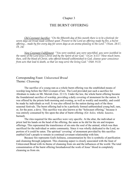## THE BURNT OFFERING

*Old Covenant Sacrifice: "On the fifteenth day of this month there is to be a festival; for seven days eat bread made without yeast. Present to the Lord an offering made by fire, a burnt offering... made by fire every day for seven days as an aroma pleasing to the Lord." (Num. 28:17, 19, 24)*

*New Covenant Fulfillment: "You were washed, you were sanctified, you were justified in the name of the Lord Jesus Christ and by the Spirit of our God." (1Cor. 6:11) "How much more, then, will the blood of Christ, who offered himself unblemished to God, cleanse your conscience from acts that lead to death, so that we may serve the living God." (Heb. 9:13)*

## Corresponding Feast: *Unleavened Bread*  Theme: *Cleansing*

The sacrifice of a young ram as a whole burnt offering was the established means of worship long before the Old Covenant of law. The Lord provided just such a sacrifice for Abraham to make on Mt. Moriah (Gen. 22:13). Under the law, the whole burnt offering became the foundational sacrifice of worship, providing a daily covering of atonement for the nation. It was offered by the priests both morning and evening, as well as weekly and monthly, and could be made by individuals as well. It was also offered for the nation during each of the three seasonal festivals. The burnt offering had to be a perfectly formed unblemished young bull, ram, or, for the poor, a dove. This sacrifice was also known as the "holocaust offering," because it was entirely consumed by fire upon the altar of burnt offering: (Gr: *holos,* whole*; kaustos,*  burned).

The rites required for this sacrifice were very specific. At the altar, the individual or priest laid his hands on the head of the offering, the same as he did for the sin and trespass offerings. This represented the transference of sin onto the soul of the animal, which was then sacrificed for the individual or entire community. Since it was wholly dedicated to the Lord, no portion of it could be eaten. The spiritual 'covering' of atonement provided by this sacrifice enabled God's people to remain in continual covenant relationship with him.

Because fire represents God's holiness, consummation by fire is symbolic of purification and cleansing through judgment. This cleansing aspect is closely associated with the feast of Unleavened Bread with its theme of cleansing from sin and the influences of the world. The total consummation of the burnt offering foreshadowed the work of Jesus' blood in completely cleansing us from sin.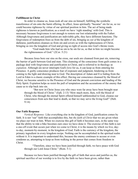## **Fulfillment in Christ**

In order to cleanse us, Jesus took all our sins on himself, fulfilling the symbolic transference of sin onto the burnt offering. In effect, Jesus spiritually "became" sin for us, so we could become righteous by virtue of our spiritual position in him. The act of being made righteous is known as justification; as a result we have 'right standing' with God. This is necessary because forgiveness is not enough to restore our lost relationship with the Father. Although forgiveness and justification are indivisible gifts, they have different functions. The forgiveness of redemption frees us from the debt of sin, bringing us *out of* the kingdom of darkness; justification cleanses us from sin and covers us with the righteousness of Christ, bringing us *into* the kingdom of God and giving us right of access into God's throne room.

"God made him who had no sin to be sin for us, so that in him we might become the righteousness of God." (2Cor. 5:21)

Because Jesus bore our sins on the cross, our souls are cleansed from past sin, removing the barrier of guilt between God and man. This cleansing of the conscience from guilt comes in a package deal with forgiveness and justification in Christ, and is referred to in theology as *expiation*. Although sin never interrupts God's love for us, it can keep us from entering his Presence. A guilty conscience produces fear of exposure and judgment, hindering us from coming to the light and drawing near to God. The description of Adam and Eve hiding from the Lord in Eden is a classic example of this effect. Having our conscience cleansed by the blood of Christ, we become sensitive to the Presence of God and the present conviction and leading of the Holy Spirit. Expiation helps us resist the pull of temptation and the accusations of the enemy that cause us to slip back into sin.

 "But now in Christ Jesus you who once were far away have been brought near through the blood of Christ." (Eph. 2:13) "How much more, then, will the blood of Christ, who through the eternal Spirit offered himself unblemished to God, cleanse our consciences from acts that lead to death, so that we may serve the living God!" (Heb. 9:14)

#### **Our Faith Response**

*Vertical Response:* Like everything else in the kingdom of God, justification comes by faith. It is not "our" faith that accomplishes this, but *the faith of Christ* that we are given when we place our trust in him. When we exercise this gift of faith it becomes ours, in the same way that the ability to ride a bike becomes ours once we have done it. The exercise of this faith is not a one-off event that occurs just when we come to Christ; it is the means by which we live, dayto-day, moment-by-moment, in the kingdom of God. Faith is the currency of the kingdom, the primary ingredient in every kingdom recipe. Nothing can be accomplished in the spiritual realm without it. It is important to understand this, because the enemy continues to accuse or even condemn us, attempting to keep us from walking in the power that comes from freedom in Christ.

"Therefore, since we have been justified through faith, we have peace with God through our Lord Jesus Christ." (Rom. 5:1)

Because we have been justified through the gift of faith that saves and justifies us, the spiritual sacrifice of our worship is to live by the faith we have been given, rather than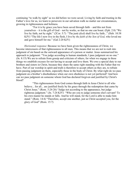continuing "to walk by sight" as we did before we were saved. Living by faith and trusting in the Father's love for us, we learn to persevere in our salvation walk no matter our circumstances, growing in righteousness and holiness.

"For it is by grace you have been saved through faith – and this not from yourselves – it is the gift of God – not by works, so that no one can boast. (Eph. 2:8) "We live by faith, not by sight." (2Cor. 5:7) "The just(-*ified*) shall live by faith..." (Heb. 10:38 KJV) "The life I now live in the flesh, I live by *the faith of the Son of God*, who loved me and gave himself for me." (Gal 2:20 KJV)

*Horizontal response*: Because we have been given the righteousness of Christ, we become intercessors of that righteousness to all men. This means that we are not to rush into judgment of sin based on the outward appearance of a person or matter. Jesus summarized his approach to judgment: "You judge according to human standards; I pass judgment on no one." (Jn. 8:15) We are to refrain from gossip and criticism of others, for when we engage in these things we establish excuses for not having to accept and love them. We owe a special duty to our brothers and sisters in Christ, because they share the same right standing with the Father that we have. Part of our worship in spirit and truth is therefore to accept others as they are, to refrain from passing judgment on them, especially those in the body of Christ. By what right do we pass judgment on a brother's disobedience when our own obedience is not yet perfected? And how can we pass judgment on someone whom God has declared forgiven and justified by Christ's blood?

"This righteousness from God comes through faith in Jesus Christ to all who believe... for all... are justified freely by his grace through the redemption that came by Christ Jesus." (Rom. 3:24-26) "Judge not according to the appearance, but judge righteous judgment." (Jn. 7:24 KJV) "Who are you to judge someone else's servant? To his own master he stands or falls. And he will stand, for the Lord is able to make him stand." (Rom. 14:4) "Therefore, accept one another, just as Christ accepted you, for the glory of God" (Rom. 15:7)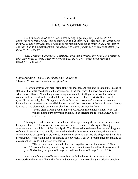## THE GRAIN OFFERING

*Old Covenant Sacrifice: "When someone brings a grain offering to the LORD, his offering is to be of fine flour. He is to pour oil on it, put incense on it and take it to Aaron's sons the priests. The priest shall take a handful of the fine flour and oil, together with all the incense, and burn this as a memorial portion on the altar, an offering made by fire, an aroma pleasing to the LORD." (Lev. 2:1-3)*

*New Covenant Fulfillment: "Therefore, I urge you, brothers, in view of God's mercy, to offer your bodies as living sacrifices, holy and pleasing to God – which is your spiritual worship." (Rom. 12:1)*

## Corresponding Feasts: *Firstfruits and Pentecost* Theme: *Consecration —>Sanctification*

The grain offering was made from flour, oil, incense, and salt, and kneaded into loaves or flat cakes that were sacrificed on the bronze altar in the courtyard. It always accompanied the whole burnt offering. When the grain offering was made by itself, part of it was burned as a consecrated memorial to the Lord, while the rest was reserved for the priests. Since bread is symbolic of the body, this offering was made without the 'corrupting' elements of leaven and honey. Leaven represents sin, unbelief, hypocrisy, and the corruption of the world system. Honey is a type of the pleasurable desires that give birth to sin and corrupt the flesh.

"Every grain offering you bring to the LORD must be made without yeast, for you are not to burn any yeast or honey in an offering made to the LORD by fire." (Lev. 2:11)

The required addition of incense, salt and oil was just as significant as the prohibition of honey and leaven. Oil was used to consecrate whatever it touched. It also symbolized joy, foreshadowing the ministry of the Holy Spirit. The oil seeped into the rough texture of the grain, softening it, enabling it to be fully consumed in the fire. Incense from the altar, which was a foreshadowing or type of prayer, created an aroma on burning that was pleasing to God. Salt is a preservative, symbolizing the lasting nature of a covenant. It always accompanied the making of a covenant of friendship between two parties.

"The priest is to take a handful of... oil, together with all the incense..." (Lev. 6:15) "Season all your grain offerings with salt. Do not leave the salt of the covenant of your God out of your grain offerings; add salt to all your offerings." (Lev. 2:13)

A variant of the grain offering is associated with the theme of consecration that characterized the feasts of both Firstfruits and Pentecost. The Firstfruits grain offering consisted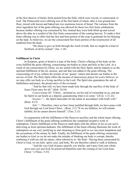of the first sheaves of barley fresh picked from the field, which were waved, or consecrated, to God. The Pentecostal wave offering was of the first batch of wheat, after it was ground into flour, mixed with leaven and baked into two enormous loaves of bread. The variance from the strict ingredient list of the grain offering was allowed for these two first fruits celebrations because neither offering was consumed by fire; instead they were both lifted up and waved above the altar as a symbol of the first fruits consecration of the coming harvest. To make a first fruits offering was to offer God the first and best portion of the crop in gratitude for his blessing on the land. As believers, we are the consecrated first fruits portion of the resurrection of all mankind from the dead.

"He chose to give us birth through the word of truth, that we might be a kind of firstfruits of all he created." (Jas. 1:18)

## **Fulfillment in Christ**

In Scripture, grain or bread is a type of the body. Christ's offering of his body on the cross fulfilled the grain offering, consecrating our bodies as clean and holy to the Lord. As a result of our consecration by Christ, we are sealed with the Holy Spirit, and he imparts to us the spiritual fulfillment of the oil, incense, and salt that was added to the grain offering. The consecrating oil of joy softens the texture of our 'grainy' nature and anoints our bodies to the service of God. The Holy Spirit offers the incense of intercessory prayer for every believer, so we may offer our body as a living sacrifice to the Lord. The Spirit also guarantees the salt of faithfulness and peace, the preservative of the covenant.

"And by that will, we have been made holy through the sacrifice of the body of Jesus Christ once for all." (Heb. 10:10)

*Consecrating Oil*: "Christ... anointed us, set his seal of ownership on us, and put his Spirit in our hearts as a deposit, guaranteeing what is to come." (2Cor. 1:21-22)

*Incense*: "... the Spirit intercedes for the saints in accordance with God's will." (Rom. 8:27)

*Salt*: "...Therefore, since we have been justified through faith, we have peace with God through our Lord Jesus Christ... (Rom. 5:1) "If we are faithless, he will remain faithful, for he cannot disown himself." (Tim. 2:13)

In conjunction with his fulfillment of the Passover sacrifice and the whole burnt offering, Christ's fulfillment of the grain offering symbolizes the completed inceptive work of redemption. Christ's fulfillment of the Passover lamb deals with the effects of sin on our *spirit*, delivering us from spiritual darkness. His fulfillment of the burnt offering illustrates the work of redemption on our *soul*, justifying us and cleansing us from guilt so we can resist temptation and the accusations of the enemy by faith. Finally, his fulfillment of the grain offering consecrates our bodies to God, so we do not make the mistake of thinking our body is corrupt, thereby confusing it with our old sin nature, often referred to as 'the flesh.' Having been consecrated by Christ to God, we are holy: spirit, soul, and body. We are therefore called to walk in holiness.

"And the very God of peace sanctify you wholly; and I pray God your whole *spirit and soul and body* be preserved blameless unto the coming of our Lord Jesus Christ." (1Thess. 5:23)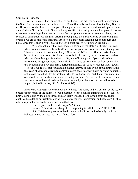#### **Our Faith Response**

*Vertical response*: The consecration of our bodies (the oil), the continual intercession of the Spirit (the incense), and the faithfulness of Christ (the salt), are the work of the Holy Spirit in us. However, we also have to do our part. Having been saved and set apart to God's purposes, we are called to offer our bodies to God as a living sacrifice of worship. As much as possible, we are to remove those things that cause us to sin – the corrupting elements of leaven and honey, as sources of temptation. As the grain offering accompanied the burnt offering both morning and evening, we are to make this spiritual sacrifice on a daily basis, keeping our bodies pure and holy. Since this is such a problem area, there is a great deal of Scripture on the subject.

"Do you not know that your body is a temple of the Holy Spirit, who is in you, whom you have received from God? You are not your own; you were bought at a price. Therefore honor God with your body." (lCor.6:19-20) "Do not offer the parts of your bodies to sin, as instruments of wickedness, but rather offer yourselves to God, as those who have been brought from death to life; and offer the parts of your body to him as instruments of righteousness." (Rom. 6:13) "... let us purify ourselves from everything that contaminates body and spirit, perfecting holiness out of reverence for God." (2Cor. 7:1) "It is God's will that you should be holy: that you should avoid sexual immorality; that each of you should learn to control his own body in a way that is holy and honorable, not in passionate lust like the heathen, who do not know God; and that in this matter no one should wrong his brother or take advantage of him. The Lord will punish men for all such sins, as we have already told you and warned you. For God did not call us to be impure, but to live a holy life." (1Thess. 4:3-7)

*Horizontal response*: As we remove those things (the honey and leaven) that defile us, we become intercessors of the holiness of God, channels of the qualities imparted to us by the Holy Spirit, symbolized by the oil, incense, and salt that were added to the grain offering. These qualities help define our relationships as we minister the joy, intercession, and peace of Christ to others, especially our brothers and sisters in the Lord.

*Oil:* "Rejoice in the Lord always." (Phil. 4:4)

*Incense:* "Be alert, and always keep on praying for all the saints." (Eph. 6:18) *Salt:* "Make every effort to live in peace with all men and to be holy; without holiness no one will see the Lord." (Heb. 12:14)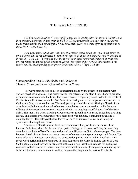## THE WAVE OFFERING

*Old Covenant Sacrifice: "Count off fifty days up to the day after the seventh Sabbath, and then present an offering of new grain to the LORD. From wherever you live, bring two loaves made of two-tenths of an ephah of fine flour, baked with yeast, as a wave offering of firstfruits to the LORD." (Lev. 23:16-17)*

*New Covenant Fulfillment: "But you will receive power when the Holy Spirit comes on you; and you will be my witnesses in Jerusalem, and in all Judea and Samaria, and to the ends of the earth." (Acts 1:8) "I pray also that the eyes of your heart may be enlightened in order that you my know the hope to which he has called you, the riches of his glorious inheritance in the saints, and his incomparably great power for us who believe." (Eph. 1:18-19)*

## Corresponding Feasts: *Firstfruits and Pentecost*  Theme: *Consecration — >Sanctification in Power*

The wave offering was an act of consecration made by the priests in connection with various sacrifices and feasts. The priest 'waved' the offering at the altar, lifting it above his head in an act of consecration to the Lord. The wave offering is especially identified with the feasts of Firstfruits and Pentecost, when the first fruits of the barley and wheat crops were consecrated to God, sanctifying the whole harvest. The fresh picked grain of the wave offering of Firstfruits is associated with the inceptive work of consecration that occurs at conversion, while the wave offering of Pentecost is more closely associated with the ongoing sanctifying work of the Holy Spirit. The first fruits wheat offering of Pentecost was ground into flour and baked into two huge loaves. This offering was unusual for two reasons: it was doubled, signifying power, and it included leaven. This allowed the two loaves to rise to an impressive size, confirming the symbolism of strength and power.

The feasts of Firstfruits and Pentecost meant more than just the consecration of the harvest. Both feasts share the themes of the grain offering and the wave offering, because they were both symbolic of Israel's consecration and sanctification as God's chosen people. The time between Firstfruits and Pentecost was a 'season' of consecration, spent in prayer and fasting. The wave offering of Pentecost completed the consecration period that started on Firstfruits. This seven-week period might be compared in some respects to the Catholic fasting season of Lent. God's people looked forward to Pentecost in the same way that the church has for multiplied centuries looked forward to Easter. Pentecost was therefore a day of completion, celebrating the fulfillment of one's commitment to walk in holiness that began on the feast of Firstfruits.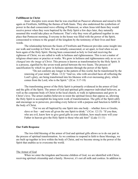#### **Fulfillment in Christ**

Jesus' disciples were aware that he was crucified on Passover afternoon and raised to life again on Firstfruits, fulfilling the themes of both feasts. They also understood the symbolism of power in the dual consecrated wave offering of Pentecost, so when Jesus told them they would receive power when they were baptized by the Holy Spirit a few days later, they naturally assumed this would take place on Pentecost. That's why they were all gathered together in one place that Pentecost morning. Everyone in the house was filled with the power of the Spirit, consecrated to witness to the gospel of the kingdom by the testimony of their lives and their words.

The relationship between the feasts of Firstfruits and Pentecost provides some insight into our walk and worship in Christ. We are initially consecrated, or set apart, to God when we are born again of the Holy Spirit. Having been consecrated as holy to God and receiving the righteous of Christ, we are called to walk in holiness and righteousness. This is not a matter of religious observance or practice or works. We grow in holiness and righteousness only as *we are changed into the image of Christ*. This process is known as transformation by the Holy Spirit. It is a process, signified by the seven-week period between the two feasts. The process of sanctification by which we grow in holiness operates through the power of the Spirit.

"Do not conform any longer to the pattern of this world, but be transformed by the renewing of your mind." (Rom. 12:2) "And we, who with unveiled faces all reflecting the Lord's glory, are being transformed into his likeness with ever-increasing glory, which comes from the Lord, who is the Spirit." (2Cor. 3:17-18)

The transforming power of the Holy Spirit is primarily evidenced in the armor of God and the gifts of the Spirit. The armor of God and spiritual gifts empower individual believers, as well as the corporate body of Christ in the local church, to walk in righteousness and grow in Christ's love. The armor enables believers to resist the spiritual forces that oppose us, allowing the Holy Spirit to accomplish his long-term work of transformation. The gifts of the Spirit edify and encourage us to persevere, providing every believer with a purpose and function to fulfill in the body of Christ.

"For we are all baptized by one Spirit into one body – whether Jews or Greeks, slave or free – and were all given the one Spirit to drink."  $(1Cor. 12:13)$  "If you then, who are evil, know how to give good gifts to your children, how much more will your Father in heaven give the Holy Spirit to those who ask him!" (Luke 11:11)

## **Our Faith Response**

The two-fold blessing of the armor of God and spiritual gifts allows us to do our part in the process of spiritual transformation. As we continue to respond in faith to these blessings, we are built up together in love within the body of Christ, and we become strong in the power of the Spirit that enables us to overcome the world.

#### The Armor of God

When we enter the kingdom and become children of God, we are identified with Christ, receiving spiritual citizenship and a family. However, it's not all milk and cookies. In addition to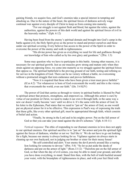gaining friends, we acquire foes, and God's enemies take a special interest in tempting and attacking us. Due to the nature of the beast, the spiritual forces of darkness actively wage continual war against every disciple of Christ to keep us from coming into maturity.

"For our struggle is not against flesh and blood, but against the rulers, against the authorities, against the powers of this dark world and against the spiritual forces of evil in the heavenly realms." (Eph. 6:12)

Having been freed from the enemy's spiritual domain and brought into God's camp in the battle against evil, the Holy Spirit gives us the power to stand and protect ourselves and those under our spiritual covering. Every believer has access to the power of the Spirit in order to overcome the power of the enemy and walk in righteousness.

"His divine power has given us everything we need for life and godliness through our knowledge of him who called us by his own glory and goodness." (2Pet. 1:3)

Some may question why we have to participate in this battle. Among other reasons, it is necessary for our spiritual growth. Just as our muscles grow strong and mature only when they strain against an opposing force, we come into maturity as we struggle against the spiritual forces that oppose us. The spiritual battlefield is the proving ground of our faith, testing and refining us for service in the kingdom of God. There can be no victory without a battle, no overcoming without a protracted struggle that tests endurance and proves faithfulness.

"Now it is required that those who have been given a trust must prove faithful." (lCor.4:2) "For whatsoever is born of God overcometh the world: and this is the victory that overcometh the world, even our faith." (lJn. 5:4 KJV)

The power of God that carries us through to victory in spiritual battles is likened by Paul to spiritual armor that protects, strengthens, and empowers us. Although this armor is ours by virtue of our position in Christ, we need to make it our own it through faith, in the same way a new car doesn't really become 'ours' until we drive it. It's the same with the armor of God. In his letter to the Ephesians, Paul states that we need to "put on" the armor of God, as one would put on physical armor for it to be effective. This expression is Paul's way of expressing the truth that these gifts, like every other spiritual gift, must be appropriated through faith, which consists of belief and action.

"Finally, be strong in the Lord and in his mighty power. Put on the full armor of God so that you can take your stand against the devil's schemes." (Eph. 6:10-11)

*Vertical response*: The ethic of responding to our (human) enemies in love does not apply to our spiritual enemies. Our spiritual sacrifice is to "put on" the armor and join the spiritual fight against the forces of darkness, whether or not we 'feel like it.' We do not have to go out looking for a fight, because our enemy is always looking for us. Vigilance against sin always starts in cleaning up our own backyard, not in judging our brother or sister for their messy house!

"Be self-controlled and alert. Your enemy the devil prowls around like a roaring lion looking for someone to devour." (lPet. 5:8) "So let us put aside the deeds of darkness and put on the armor of light." (Rom.13:12) "Therefore put on the full armor of God, so that when the day of evil comes, you may be able to stand your ground, and after you have done everything, to stand. Stand firm then, with the belt of truth buckled around your waist, with the breastplate of righteousness in place, and with your feet fitted with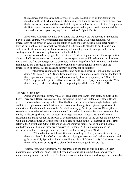the readiness that comes from the gospel of peace. In addition to all this, take up the shield of faith, with which you can extinguish all the flaming arrows of the evil one. Take the helmet of salvation and the sword of the Spirit, which is the word of God. And pray in the Spirit on all occasions with all kinds of prayers and requests. With this in mind, be alert and always keep on praying for all the saints." (Eph 6:13-18)

*Horizontal response*: We have been called into one body. As we become a functioning part of a local church, we are perfected and brought into unity with other believers. As intercessors of the power of God, we are called to stand together in battle with other believers. Having put on the armor by which we stand and fight, we are to stand with our brothers and sisters in Christ, interceding for them so we may all stand together. It is not possible for the solitary soldier to last any length of time on the battlefield.

In any protracted campaign, there are times of rest and replenishment. As we spend time alone with Christ, we renew our strength; when we spend time in fellowship with our brothers and sisters, we find encouragement to persevere in the testing of our faith. We may need to be reminded to put a particular piece of armor back on or to find strength in prayer and the intercession of others. We are called to support and pray for one another.

"Therefore encourage one another and build each other up, just as in fact you are doing." (1Thess. 5:11) "...Stand firm in one spirit, contending as one man for the faith of the gospel without being frightened in any way by those who oppose you." (Phil. 1:27- 28) "And pray in the spirit on all occasions with all kinds of prayers and requests. With this in mind, be alert and always keep on praying for all the saints." (Eph. 6:18)

#### The Gifts of the Spirit

Along with spiritual armor, we also receive gifts of the Spirit that edify, or build up the body. There are different types of spiritual gifts listed in the New Testament. These gifts are given to individuals according to the will of the Spirit, so the whole body might be built up to walk in the righteousness of Christ in service to others. Some gifts are given as positions of authority within the church, such as the five-fold ministry gifts of Ephesians 4. Other gifts are somewhat more ethereal, such as having a word of wisdom in a particular circumstance or the ability to discern spirits, to heal, or speak in foreign languages. These gifts are of a more situational nature, given for the purpose of demonstrating the truth of the gospel and the love of God at a particular time. A listing of these gifts can be found in the  $12<sup>th</sup>$  chapter of Paul's first letter to the Corinthians. Other gifts are of a more enduring nature, based on our individual aptitudes and abilities, and these are discussed in Romans 12. It is up to us to make the investment to discover our gifts and put them to use for the kingdom of God.

 "This salvation, which was first announced by the Lord, was confirmed to us by those who heard him. God also testified to it by signs, wonders and various miracles, and gifts of the Holy Spirit distributed according to his will." (Heb. 2:3-4) "Now to each one the manifestation of the Spirit is given for the common good." (lCor. 12:7)

*Vertical response*: As parents, we encourage our children to find and develop their natural talents, whether in sports, the ability to play a musical instrument, a propensity for understanding science or math, etc. The Father is no less interested in our development. Since the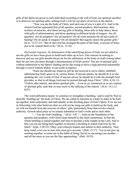gifts of the Spirit are given to each individual according to the will of God, our spiritual sacrifice is to discover our spiritual gifts, seeking God's will for our place of service in the church.

 "Now you are the body of Christ, and each one of you is a part of it. And in the church God has appointed first of all apostles, second prophets, third teachers, then workers of miracles, also those having gifts of healing, those able to help others, those with gifts of administration, and those speaking in different kinds of tongues. Are all apostles? Are all prophets? Are all teachers? Do all work miracles Do all have gifts of healing? Do all speak in tongues? Do all interpret? But eagerly desire the greater gifts." (lCor. 12:27-31) "But in fact God has arranged the parts of the body, everyone of them, just as he wanted them to be." (lCor. 12:18)

*Horizontal response*: As intercessors of the sanctifying power of God, we are called to use the gifts we have been given to build each other up in love. Our concern in seeking to discover and use our gifts should always be for the edification of the body in God's timing rather than for our own elevation through a demonstration of God's power. The use of spiritual gifts without submission to the Spirit's leading can be like trying to drive a high powered automobile through a crowd without brakes: it can result in injuries.

"Each one should use whatever gift he has received to serve others, faithfully administering God's grace in its various forms. If anyone speaks, he should do it as one speaking the very words of God. If anyone serves, he should do it with the strength God provides, so that in all things God may be praised through Jesus Christ." (lPet. 4:10-11) "Follow after charity, and desire spiritual gifts ... Even so ye, forasmuch as ye are zealous of spiritual gifts, seek that ye may excel to the edifying of the church." (lCor. 14:1,12 KJV)

The word edification means 'to construct or strengthen a building,' and is used by Paul to describe 'building up' the body of Christ. We are called to function as a body in order to be built up together, both corporately and individually as the dwelling place of God's Spirit. If we are not in fellowship with other believers then we will not be using our gifts to build up the body, and we will not benefit from the exercise of others' gifts, particularly those that involve church authority. Growth takes place as we remain submitted to God's work and to each other.

"... You are God's building..." (ICor. 3:9) "... built on the foundation of the apostles and prophets, with Christ Jesus himself as the chief cornerstone. In him the whole building is joined together and rises to become a holy temple in the Lord. And in him you too are being built together to become a dwelling in which God lives by his Spirit." (Eph. 2:20-22) "Obey your (church) leaders and submit to their authority. They keep watch over you as men who must give account." (Heb. 13:17) "Let us not give up meeting together, as some are in the habit of doing, but let us encourage one another and all the more as you see the Day approaching." (Heb. 10:25)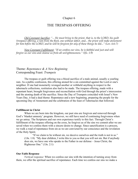## THE TRESPASS OFFERING

*Old Covenant Sacrifice: "... He must bring to the priest, that is, to the LORD, his guilt (trespass) offering, a ram from the flock, one without defect, and... the priest will make atonement for him before the LORD, and he will be forgiven for any of these things he did..." (Lev. 6:6-7)* 

*New Covenant Fulfillment: "If we confess our sins, he is faithful and just and will forgive us our sins and cleanse us from all unrighteousness." (lJn. 1:9)*

## Theme: *Repentance & A New Beginning*  Corresponding Feast: *Trumpets*

The trespass or guilt offering was a blood sacrifice of a male animal, usually a yearling ram. As a public confession, this offering atoned for a sin committed against the Lord or one's neighbor. If one had monetarily wronged another or withheld anything in respect to the tabernacle collections, restitution also had to be made. The trespass offering, made with a repentant heart, brought forgiveness and reconciliation with God through the priest's intercession and the atoning death of the sacrifice. Since the Day of Trumpets coincided with Israel's New Years Day, it had a dual theme: Repentance and a new beginning, preparing the people for the upcoming Day of Atonement and the celebration of the feast of Tabernacles that followed.

## **Fulfillment in Christ**

When we are born into the kingdom, our past sins are forgiven and removed through God's 'blanket amnesty' program. However, we still have need of continuing forgiveness when we go astray. The Scriptures and our own experience testify to this fact. Through Christ's fulfillment of the trespass offering on the cross, he forgives us of the sins we commit after we are saved when we confess them with a sincere desire to change. Since sanctification is a process, we walk a road of repentance from sin as we are convicted by our conscience and the revelation of the Holy Spirit.

"If we claim to be without sin, we deceive ourselves and the truth is not in us." (1Jn. 1:8) "My dear children, I write this to you so that you will not sin. But if anybody does sin, we have one who speaks to the Father in our defense – Jesus Christ, the Righteous One." (1Jn. 2:1)

#### **Our Faith Response**

*Vertical response*: When we confess our sins with the intention of turning away from them, we offer the spiritual sacrifice of repentance. Each time we confess our sins we make a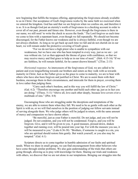new beginning that fulfills the trespass offering, appropriating the forgiveness already available to us in Christ. Our acceptance of God's forgiveness works by the same faith we exercised when we entered the kingdom. God has said that we are forgiven when we confess sin, and therefore it is so. It is as though God put an eternity's worth of forgiveness in a checking account in order to cover all of our past, present and future sins. However, even though the forgiveness is there in our name, we still need 'to write the check to access the funds.' The Lord forgives us each time we come to him with a repentant heart, even though we fall repeatedly. We should not become discouraged, for the Father knows our weakness and he is always faithful, even though we are not always obedient. As long as we get back up each time we fall and do not cherish sin in our heart, we will remain under the protective covering of God's grace.

"For we do not have a high priest who is unable to sympathize with our weaknesses, but we have one who has been tempted in every way, just as we are – yet was without sin. Let us then approach the throne of grace with confidence, so that we may receive mercy and find grace to help us in our time of need." (Heb. 4:15-16) "If we are faithless, he will remain faithful, for he cannot disown himself." (2Tim. 2:13)

*Horizontal response*: As intercessors of the forgiveness of God, we are called to be patient and even longsuffering towards our brothers and sisters as they walk with us towards maturity in Christ. Just as the Father gives us the grace to come to maturity, we are to bear with others who have also been forgiven and justified in Christ. We are to assist them with their burdens, encourage them in their circumstances, and intercede for them in prayer, covering them in love rather than judging them.

"Carry each other's burdens, and in this way you will fulfill the law of Christ." (Gal. 6:2) "Therefore encourage one another and build each other up, just as in fact you are doing." (lThess. 5:11) "Above all, love each other deeply, because love covers over a multitude of sins." (lPet. 4:8)

Encouraging those who are struggling under the deceptions and temptations of the enemy, we are able to restore them when they fall. We need to be as gentle with each other as the Spirit is with us, or we will find ourselves in the position of judging our fellow servants instead of serving alongside them. We who judge others will be judged in return, with the same amount of mercy and compassion we have shown others.

"Be merciful, just as your Father is merciful. Do not judge, and you will not be judged. Do not condemn, and you will not be condemned. Forgive, and you will be forgiven. Give, and it will be given to you. A good measure, pressed down, shaken together and running over, will be poured into your lap. For with the measure you use, it will be measured to you." (Luke 6:36-38) "Brothers, if someone is caught in a sin, you who are spiritual should restore him gently. But watch yourself, or you also may be tempted." (Gal.  $6:1$ )

Scripture directs us to come together in humble admission of our faults and spiritual needs. When we share in small groups, we can find encouragement from other believers who have come through similar problems. We also gain understanding of the trials that others are going through, allowing us to pray with knowledge for them. Sharing our trials and weakness with others, we discover that we are not alone in our temptations. Bringing our struggles into the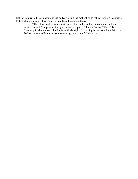light within trusted relationships in the body, we gain the motivation to follow through to achieve lasting change instead of sweeping un-confessed sin under the rug.

"Therefore confess your sins to each other and pray for each other so that you may be healed. The prayer of a righteous man is powerful and effective." (Jas. 5:16) "Nothing in all creation is hidden from God's sight. Everything is uncovered and laid bare before the eyes of him to whom we must give account." (Heb. 4:1)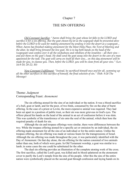## THE SIN OFFERING

*Old Covenant Sacrifice: "Aaron shall bring the goat whose lot falls to the LORD and sacrifice it for a sin offering. But the goat chosen by lot as the scapegoat shall be presented alive before the LORD to be used for making atonement by sending it into the desert as a scapegoat... When Aaron has finished making atonement for the Most Holy Place, the Tent of Meeting and the altar, he shall bring forward the live goat. He is to lay both hands on the head of the (scapegoat) and confess over it all the wickedness and rebellion of the Israelites – all their sins – and put them on the goat's head. He shall send the goat away into the desert in the care of a man appointed for the task. The goat will carry on itself all their sins... on this day atonement will be made for you, to cleanse you. Then, before the LORD, you will be clean from all your sins." (Lev. 16:9-10; 20-22; 30)* 

*New Covenant Fulfillment: "Instead, he sacrificed himself once and for all, summing up all the other sacrifices in this sacrifice of himself, the final solution of sin." (Heb. 9:28 The Message)*

## Theme: *Judgment*  Corresponding Feast: *Atonement*

The sin offering atoned for the sins of an individual or the nation. It was a blood sacrifice of a bull, goat or lamb, and for the poor, of two birds, consumed by fire on the altar of burnt offering. In the case of a priest or Levite, the more expensive animal was required. They had been set apart in a position of public trust, so their sin was more grievous in God's eyes. The offerer placed his hands on the head of the animal in an act of confession before it was slain. This was symbolic of the transference of sin onto the soul of the animal, which then bore the required penalty of death for sin.

Although the sin and trespass offerings were similar, there were differences between the two. While the trespass offering atoned for a specific act or omission by an individual, the sin offering made atonement for all the sins of an individual or for the entire nation. Unlike the trespass offering, the sin offering was made at various feasts for the transgressions of Israel. Although the sin offering was made throughout the year, it was particularly identified with the Day of Atonement. On that day alone, the sin offering for the nation consisted of two animals rather than one, both of which were goats. In Old Testament worship, a goat was similar to a lamb; in some cases the one could be substituted for the other.

The dual sin offering provides an illustration of the complete atoning work of the cross. The first sacrifice, called the Lord's goat, was killed and its blood splattered on the atonement cover to purify the Lord's temple from the sins of his people. After this the sins of the entire nation were symbolically placed on the second goat through confession and laying hands on its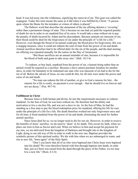head. It was led away into the wilderness, signifying the removal of sin. This goat was called the scapegoat. Today this term means the same as it did when it was fulfilled by Christ: "A person upon whom the blame for the mistakes or crimes of others is placed."

The Hebrew word that describes the atonement of the sin offering denotes a 'covering' rather than a permanent change of state. This is because no one had yet paid the required penalty of death for sin in order to set mankind free of its curse. It would take a man without sin to pay the penalty of death incurred by Adam and his descendants. Because animals are innocent of sin, their blood could be shed for the forgiveness of sin under the principle of "a life for a life." However, even though the blood of an animal could pay the blood price for forgiveness, this was a stopgap measure, since it could not redeem the soul of man from the power of sin and death. Animal sacrifices therefore had to be offered daily for the sin of the people, and the dual atoning sin offering was repeated annually for the nation on the Day of Atonement.

"But those sacrifices are an annual reminder of sins, because it is impossible for the blood of bulls and goats to take away sins." (Heb. 10:3-4)

To redeem, or buy back, mankind from the power of sin, a human being rather than an animal would be required as a sacrifice. Because a slave cannot purchase freedom for another slave, in order for humanity to be redeemed one man who was innocent of sin had to die for the sin of all. Before the advent of Jesus, no one could do this, for all men were under the power and curse of sin and death.

"No man can redeem the life of another, or give to God a ransom for him – the ransom for a life is costly, no payment is ever enough – that he should live on forever and not see decay." (Psa. 49:7-9)

#### **Fulfillment in Christ**

Because Jesus is both human and divine, he met the requirements necessary to redeem mankind. As the Son of God, he was born without sin. He therefore had the ability and motivation to live a sin-free life, and was not a slave to sin. As the Son of Man, he had the standing as a free man to pay the blood redemption price for mankind, offering his life for ours under the principle of a life for a life. His death therefore worked not only forgiveness once and for all time, it freed mankind from the power of sin and death, eliminating the need for further animal sacrifice.

Since Jesus died for us, we no longer need to die for our sin. However, in order to receive the benefits of Jesus' sacrifice, we do need to 'share' in *his* death. This occurs by faith, when we place our trust in him as Savior and Lord. When we believe in him and accept his payment for our sins, we are delivered from the kingdom of Darkness and brought into to the kingdom of Light, dying to our old way of life in order to walk in the new one. Baptism provides the symbolic picture of this spiritual reality: We die with him when we are submerged in water, and rise to new life, "born again" of the Holy Spirit.

"Don't you know that all of us who were baptized into Christ Jesus were baptized into his death? We were therefore buried with him through baptism into death, in order that, just as Christ was raised from the dead through the glory of the Father, we too may live a new life." (Rom. 6:3-4)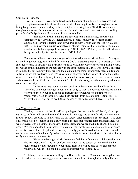## **Our Faith Response**

*Vertical response*: Having been freed from the power of sin through forgiveness and given the righteousness of Christ, we start a new life of learning to walk in this righteousness, living by grace and truth according to the principles of the kingdom of God. However, even though our sins have been removed and we have been cleansed and consecrated as a dwelling place for God's Spirit, we still have our old sin nature within.

"The acts of the sinful nature are obvious: sexual immorality, impurity and debauchery; idolatry and witchcraft; hatred, discord, jealousy, fits of rage, selfish ambition, dissensions, factions and envy; drunkenness, orgies, and the like." (Gal. 5:19- 21)" ... But now you must rid yourselves of all such things as these: anger, rage, malice, slander, and filthy language from your lips." (Col. 3:8) "... Put off your old self, which is being corrupted by its deceitful desires..." (Eph. 4:22)

Because as believers we are no longer subject to judgment for sin at the end of the ages, we go through our judgment in this life, entering God's *discipline* program as *disciples* of Christ. In order to come to maturity and bear fruit we must walk in the way of the cross, putting to death the works of the sin nature so we may grow in the divine nature of Christ. Our spiritual sacrifice is to judge the sin nature within, denying the old man those things it normally feeds on. Sin and selfishness are not mysteries to us. We know our weaknesses and are aware of those things that cause us to stumble. The only way to judge the sin nature is by taking up its instrument of death – the cross of Christ. While the cross does not "feel" like a blessing, it is the means by which we come into maturity.

"In the same way, count yourself dead to sin but alive to God in Christ Jesus. Therefore do not let sin reign in your mortal body so that you obey its evil desires. Do not offer the parts of your body to sin, as instruments of wickedness, but rather offer yourselves to God as those who have been brought from death to life." (Rom. 6:11-13) "If by the Spirit you put to death the misdeeds of the body, you will live." (Rom. 8:13)

## The Way of the Cross

The key to putting off the old self and putting on the new man is self-denial, taking up our cross to follow Christ in the way of discipleship. Through the grace of Christ, the new man grows stronger, enabling us to overcome the sin nature, often referred to as "the flesh." The cross only works when it is taken up on a daily basis, a process that requires faith and endurance. As we persevere, Christ becomes more as we become less, and we are gradually changed into his image. We can understand this process by looking at the transformation of a caterpillar wrapped inside its cocoon. The caterpillar does not die, it merely puts off its old nature so that it can take on the new nature of the butterfly. What appears to be the instrument of death to the caterpillar is really the gateway to a new life.

"Those who belong to Christ have crucified the sinful nature with its passions and desires." (Gal. 5:24) "Do not conform any longer to the pattern of this world, but be transformed by the renewing of your mind. Then you will be able to test and approve what God's will is – his good, pleasing and perfect will." (Rom. 12:2)

To take up our cross is to be willing to suffer for the sake of Christ and his kingdom. We need to endure the cross willingly if we are to endure it at all. It is through this daily self-denial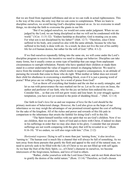that we are freed from ingrained selfishness and sin so we can walk in actual righteousness. This is the way of the cross, the only way that we can come to completeness. When we learn to discipline ourselves, we avoid having God's discipline imposed on us. As we overcome in small things, we develop the faith to overcome the giants in our life.

"But if we judged ourselves, we would not come under judgment. When we are judged by the Lord, we are being disciplined so that we will not be condemned with the world." (1Cor. 11:31-32) "Endure hardship as discipline; God is treating you as sons. For what son is not disciplined by his father?" (Heb. 12:7) "Therefore, since Christ suffered in his body, arm yourselves also with the same attitude, because he who has suffered in his body is done with sin. As a result, he does not live the rest of his earthly life for evil human desires, but rather for the will of God." (lPet. 4:1-2)

If we find ourselves repeatedly falling into the same sin, we will come under the Lord's discipline program to receive the incentive we need to change our behavior. Discipline can take many forms, but it usually comes as some type of hardship that can range from unpleasant circumstances to outright tribulation. Parents who have spanked their children or made them stand in a corner understand the value of negative stimuli in changing behavior. We need to move from the mindset of repeated sin, which results in negative consequences, to an attitude of pursuing the rewards that come to those who do right. What mother or father does not reward their child for obedience in overcoming a stumbling block, even if it is just a passing word of praise? What price are we willing to pay for a word of praise from God?

"Let us throw off everything that hinders and the sin that so easily entangles, and let us run with perseverance the race marked out for us. Let us fix our eyes on Jesus, the author and perfecter of our faith, who for the joy set before him endured the cross… Consider him… so that you will not grow weary and lose heart. In your struggle against temptation, you have not yet resisted to the point of shedding blood…" (Heb. 12:1-4)

Our faith in God's love for us and our response of love for the Lord should be the primary motivator of behavioral change. However, the Lord also gives us the hope of our inheritance so we may weigh the advantages of our promised reward against the cost of suffering for the sake of the kingdom. All of the riches and power and rewards of this life pale in comparison to the inheritance that awaits the faithful for doing God's will in this life.

"The Spirit himself testifies with our spirit that we are God's children. Now if we are children, then we are heirs – heirs of God and co-heirs with Christ, if indeed we share in his sufferings in order that we may also share in his glory. I consider that our present sufferings are not worth comparing with the glory that will be revealed in us." (Rom. 8:16-18) "If we endure, we will also reign with him." (Tim. 2:12)

*Horizontal response*: Dying to self is more than just 'turning from,' it also involves 'turning to.' The human soul is much like a channel that will always be full of something. As we turn away from those pursuits that gratify the flesh and appeal to the soul of the natural man, we need to actively seek to be filled with the Life of Christ so we are not filled up with self again. As we bear the fruit of the Holy Spirit, i.e., of Christ's character in ourselves, we become intercessors of the forgiveness, holiness, and love of God to others.

"Rather, clothe yourselves with the Lord Jesus Christ, and do not think about how to gratify the desires of the sinful nature." (Rom. 13:14) "Therefore, as God's chosen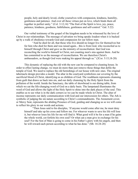people, holy and dearly loved, clothe yourselves with compassion, kindness, humility, gentleness and patience. And over all these virtues put on love, which binds them all together in perfect unity." (Col. 3:12,14) "The fruit of the Spirit is love, joy, peace, patience, kindness, goodness, faithfulness, gentleness and self-control." Gal. 5:22)

Our verbal testimony of the gospel of the kingdom needs to be witnessed by the love of Christ in our relationships. The message of salvation we bring speaks loudest when it is backed up by a walk of obedience towards God and compassion for our fellow man.

"And he died for all, that those who live should no longer live for themselves but for him who died for them and was raised again... this is from God, who reconciled us to himself through Christ and gave us the ministry of reconciliation: that God was reconciling the world to himself in Christ, not counting men's sins against them. And he has committed to us the message of reconciliation. We are therefore Christ's ambassadors, as though God were making his appeal through us." (2Cor. 5:15,18-20)

This dynamic of replacing the old with the new can be compared to cleaning house. In order to effect lasting change, we must do more than just remove those things that defile the temple of God. We need to replace the old furnishings of our house with new ones. The original tabernacle design provides a model. The altar in the courtyard symbolizes our covering by the sacrificial blood of Christ, identifying us as children of God. The washbasin represents cleansing from guilt that draws us back into sin, and our daily cleansing by the Holy Spirit from the pollution of the world. Inside the Sanctuary, the table of showbread is our dining table, from which we eat the life-changing word of God on a daily basis. The lampstand illuminates the word of God and allows the light of the Holy Spirit to shine into the dark places of the soul. This enables us to see what is in the dark corners so we can be made whole in Christ. The altar of incense represents our daily communication with God and our intercession for others. The Ark is symbolic of judging the sin nature according to Christ's commandments. The Atonement cover, or Mercy Seat, represents the abiding Presence of God, guiding and changing us so we will come to reflect his glory in our words and actions.

"Then Jesus said to his disciples, 'If anyone would come after me, he must deny himself and take up his cross and follow me. For whoever wants to save his life will lose it, but whoever loses his life for me will find it. What good will it be for a man if he gains the whole world, yet forfeits his own soul? Or what can a man give in exchange for his soul? For the Son of Man is going to come in his Father's glory with his angels, and then he will reward each person according to what he has done." (Mt. 16:24-28)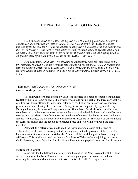## THE PEACE/FELLOWSHP OFFERING

*Old Covenant Sacrifice: "If someone's offering is a fellowship offering, and he offers an animal from the herd, whether male or female, he is to present before the LORD an animal without defect. He is to lay his hand on the head of his offering and slaughter it at the entrance to the Tent of Meeting. Then Aaron's sons the priests shall sprinkle the blood against the altar on all sides... (and) burn it on the altar on top of the burnt offering that is on the burning wood, as an offering made by fire, an aroma pleasing to the LORD." (Lev. 3:1-2, 5)* 

*New Covenant Fulfillment: "We proclaim to you what we have seen and heard, so that you may have fellowship with us. We write this to make our joy complete. And our fellowship is with the Father and with his Son, Jesus Christ. But if we walk in the light, as he is in the light, we have fellowship with one another, and the blood of Christ purifies us from every sin. (1Jn. 1:3- 4, 6-7)*

## Theme: *Joy and Peace in The Presence of God*  Corresponding Feast: *Tabernacles*

The fellowship or peace offering was a blood sacrifice of a male or female from the herd (cattle) or the flock (lamb or goat). This offering was made during each of the three convocations as a free-will thank offering to honor God, often as a result of a vow in response to answered prayer or a special blessing. Like the burnt offering, it was accompanied by a grain offering. During a feast day, the peace offering was always offered last, after all the other sacrifices were completed. All the fat portions were burned on the altar, while the right breast and shoulder were reserved for the priests. The offerer took the remainder of the sacrifice home to share it with his family, with Levites, and the poor in a communal meal. Because this sacrifice was shared among the Lord, his priests, and the people, it celebrated peace and fellowship with God and one's neighbor.

Although this offering was made at all the feasts, it predominated at the Feast of Tabernacles, for this was a time of gratitude and rejoicing in God's provision at the end of the harvest season. It was also a memorial of the Presence of the Lord that guided Israel through the wilderness. This sacrifice echoed the theme of the Feast of Tabernacles – rejoicing and rest in God's Presence, – glorifying him for his spiritual blessings and physical provision for his people.

#### **Fulfillment in Christ**

Jesus fulfilled the fellowship offering when he ratified the New Covenant with his blood. As the mediator of the New Covenant, Jesus made complete peace between God and man, restoring the Father-child relationship that existed before the Fall. The major thematic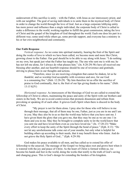undercurrent of this sacrifice is unity – with the Father, with Jesus as our intercessory priest, and with our neighbor. The goal of saving individuals is to unite them in the mystical body of Christ in order to change the world through the love of God. Just as a large corporate lobbying entity has more power and influence than a single individual, the corporate body of Christ is called to make a difference in the world, working together to fulfill the great commission, taking the love of Christ and the gospel of the kingdom of God throughout the world. Each one does his part in a different way; some send while others go, some provide support, and everyone has a ministry in his or her own neighborhood and community.

#### **Our Faith Response**

*Vertical response*: As we come into spiritual maturity, bearing the fruit of the Spirit and doing the works of love to which we have been called, we become more and more like Christ, growing closer to the Father. Our goal should be to be able to say along with Jesus: "I do nothing on my own, but speak just what the Father has taught me. The one who sent me is with me; he has not left me alone, for I always do what pleases him." (Jn. 8:28-29) We have all received one blessing after another, and our heartfelt response should be one of reverence and gratitude, striving to please him in our thoughts and actions.

"Therefore, since we are receiving a kingdom that cannot be shaken, let us be thankful*,* and so worship God acceptably with reverence and awe, for our God is a consuming fire." (Heb. 12:28-29) "By him therefore let us offer the sacrifice of praise to God continually, that is, the fruit of our lips giving thanks to his name." (Heb. 13:15 KJV)

*Horizontal response*: As intercessors of the blessings of God we are called to extend the fellowship of Christ to others, maintaining the peace and unity of the Spirit with our brothers and sisters in the body. We are to avoid controversies that promote dissension and refrain from provoking or speaking ill of each other. It grieves God's Spirit when there is discord in the body of Christ.

"My prayer is not for them alone. I pray also for those who will believe in me through their message, that all of them may be one, Father, just as you are in me and I am in you. May they also be in us so that the world may believe that you have sent me. I have given them the glory that you gave me, that they may be one as we are one: I in them and you in me. May they be brought to complete unity to let the world know that you sent me and have loved them even as you have loved me." (Jn. 17:20-23) "Make every effort to keep the unity of the Spirit through the bond of peace." (Eph. 4:13) "Do not let any unwholesome talk come out of your mouths, but only what is helpful for building others up according to their needs, that it may benefit those who listen. And do not grieve the Holy Spirit of God..." (Eph. 4:29-30)

God makes his peace available to all men, and has called us to extend his offer of fellowship to the unsaved. The message of the Gospel we bring takes root and grows best when it is watered with the joy and peace of Christ. As the heart of Christ is formed within us, we become his hands and feet in the world, doing the works that testify to the truth of God's saving and changing grace. This is God's design for extending the borders of his kingdom.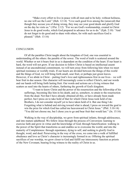"Make every effort to live in peace with all men and to be holy; without holiness, no one will see the Lord." (Heb. 12:14) "Live such good lives among the (unsaved) that though they accuse you of doing wrong, they may see your good deeds and glorify God on the day he visits us." (1Pet. 2:12) "For we are God's workmanship, created in Christ Jesus to do good works, which God prepared in advance for us to do." (Eph. 2:10) "And do not forget to do good and to share with others, for with such sacrifices God is pleased." (Heb. 13:16)

#### **CONCLUSION**

Of all the parables Christ taught about the kingdom of God, one was essential to understanding all the others: the parable of the sower. The word of truth is scattered around the world. Whether or not it bears fruit in us is dependent on the condition of the heart. If our heart is hard, the word will not grow. If our decision to follow Christ is based on intellectual assent instead of an unconditional commitment, we will turn away from following him when we meet spiritual resistance or worldly trials. If our hearts are divided between the things of this world and the things of God, we will bring forth small, sour fruit, or perhaps just green leaves. However, if we abide in Christ – putting God's love and righteousness first in our lives – we will bear fruit in due season. Our character will increasingly come to reflect Christ's, and our words and our hands will bring forth lasting fruit. Our words and actions are a living witness that scatters as seed into the hearts of others, furthering the growth of God's kingdom.

"I want to know Christ and the power of his resurrection and the fellowship of his sufferings, becoming like him in his death, and so, somehow, to attain to the resurrection from the dead. Not that I have already obtained all this, or have already been made perfect, but I press on to take hold of that for which Christ Jesus took hold of me. Brothers, I do not consider myself yet to have taken hold of it. But one thing I do: Forgetting what is behind and striving toward what is ahead, I press on toward the goal to win the prize for which God has called me heavenward in Christ Jesus." (Phil. 3:10-14) "You did not choose me, but I chose you to go and bear fruit that would last." (Jn. 15:16)

Walking in the way of discipleship, we grow from spiritual infants, through adolescence, and into mature adulthood. We follow Jesus through the process of Conversion: learning to exercise faith and grow in virtue and the knowledge of God; through Sanctification: walking in the power of the Spirit that transforms us and enables us to overcome the world; and into the maturity of Completeness: through repentance, dying to self, and seeking to glorify God in thought, word, and deed. Persevering in the way of the cross, we come into a walk of fulfilled obedience and love as Christ's character is increasingly formed in us. Offering the spiritual sacrifices of our worship, we grow closer to God and fulfill our intercessory function as priests of the New Covenant, bearing living witness to the reality of Christ in us.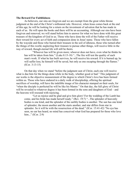#### **The Reward For Faithfulness**

As believers, our sins are forgiven and we are exempt from the great white throne judgment at the end of the Christ's millennial rule. However, when Jesus comes back at the end of this age, he will be looking for a return on the investment of salvation that he has made in each of us. He will open the books and there will be an accounting. Although our sins have been forgiven and removed, we will stand before him to answer for what we have done with this great treasure of the kingdom of God in us. Those who have done the will of the Father will receive their reward for every act of faith and compassion done in Jesus' name. Those who have fallen by the wayside and those who buried their treasure in the soil of idleness, those who turned after the things of this world, neglecting their treasure to pursue other things, will receive little in the way of reward, though eternal life will still be theirs.

"Whoever has will be given more; whoever does not have, even what he thinks he has will be taken from him." (Luke 8:15-18) "...The fire will test the quality of each man's work. If what he has built survives, he will receive his reward. If it is burned up, he will suffer loss; he himself will be saved, but only as one escaping through the flames." (lCor. 3:13-15)

On that day when we stand "before the judgment seat of Christ, each one will receive what is due him for the things done while in the body, whether good or bad." This judgment of our works is the objective measurement of the degree to which Christ's love has been formed within us. Those who have endured in a daily walk of discipleship, offering the spiritual sacrifices of worship, will have the indelible image of his character stamped on their souls, for "when the disciple is perfected he will be like his Master." On that day, the full glory of Christ will be revealed to whatever degree it has been formed in the sons and daughters of God – and the heavens will resound with rejoicing.

"Let us rejoice and be glad and give him glory! For the wedding of the Lamb has come, and his bride has made herself ready." (Rev. 19:7) "...The splendor of heavenly bodies is one kind, and the splendor of the earthly bodies is another. The sun has one kind of splendor; the moon another and the starts another; and star differs from star in splendor. So it will be with the resurrection of the dead." (lCor. 15:41-42) "No eye has seen, no ear has heard, no mind has conceived what God has prepared for those who love him..." (ICor. 2:9)